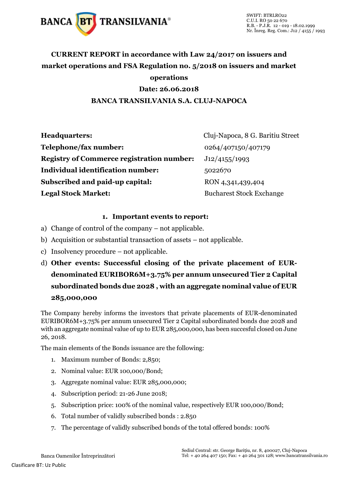

## **CURRENT REPORT in accordance with Law 24/2017 on issuers and market operations and FSA Regulation no. 5/2018 on issuers and market operations Date: 26.06.2018**

## **BANCA TRANSILVANIA S.A. CLUJ-NAPOCA**

| <b>Headquarters:</b>                             | Cluj-Napoca, 8 G. Baritiu Street |
|--------------------------------------------------|----------------------------------|
| Telephone/fax number:                            | 0264/407150/407179               |
| <b>Registry of Commerce registration number:</b> | J12/4155/1993                    |
| <b>Individual identification number:</b>         | 5022670                          |
| Subscribed and paid-up capital:                  | RON 4,341,439,404                |
| <b>Legal Stock Market:</b>                       | <b>Bucharest Stock Exchange</b>  |

## **1. Important events to report:**

- a) Change of control of the company not applicable.
- b) Acquisition or substantial transaction of assets not applicable.
- c) Insolvency procedure not applicable.
- d) **Other events: Successful closing of the private placement of EURdenominated EURIBOR6M+3.75% per annum unsecured Tier 2 Capital subordinated bonds due 2028 , with an aggregate nominal value of EUR 285,000,000**

The Company hereby informs the investors that private placements of EUR-denominated EURIBOR6M+3.75% per annum unsecured Tier 2 Capital subordinated bonds due 2028 and with an aggregate nominal value of up to EUR 285,000,000, has been succesful closed on June 26, 2018.

The main elements of the Bonds issuance are the following:

- 1. Maximum number of Bonds: 2,850;
- 2. Nominal value: EUR 100,000/Bond;
- 3. Aggregate nominal value: EUR 285,000,000;
- 4. Subscription period: 21-26 June 2018;
- 5. Subscription price: 100% of the nominal value, respectively EUR 100,000/Bond;
- 6. Total number of validly subscribed bonds : 2.850
- 7. The percentage of validly subscribed bonds of the total offered bonds: 100%